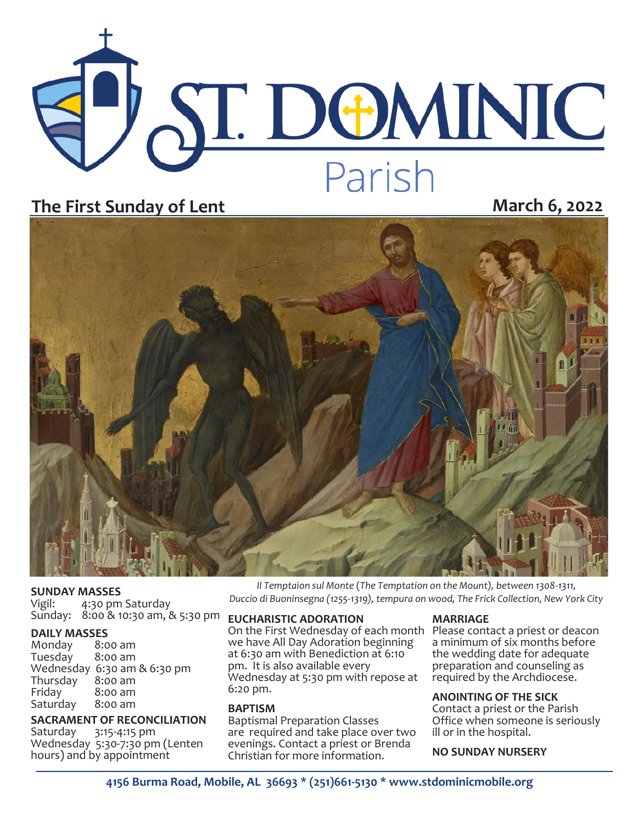

## **The First Sunday of Lent March 6, 2022**



**SUNDAY MASSES**<br>Vigil: 4:30 pm 4:30 pm Saturday Sunday: 8:00 & 10:30 am, & 5:30 pm

# **DAILY MASSES**

Monday 8:00 am<br>Tuesday 8:00 am Tuesday Wednesday 6:30 am & 6:30 pm Thursday<br>Friday  $8:00$  am<br> $8:00$  am Saturday

**SACRAMENT OF RECONCILIATION**<br>Saturday 3:15-4:15 pm 3:15-4:15 pm Wednesday 5:30-7:30 pm (Lenten hours) and by appointment

*Il Temptaion sul Monte* (*The Temptation on the Mount), between 1308-1311, Duccio di Buoninsegna (1255-1319), tempura on wood, The Frick Collection, New York City*

#### **EUCHARISTIC ADORATION**

On the First Wednesday of each month Please contact a priest or deacon we have All Day Adoration beginning at 6:30 am with Benediction at 6:10 pm. It is also available every Wednesday at 5:30 pm with repose at 6:20 pm.

#### **BAPTISM**

Baptismal Preparation Classes are required and take place over two evenings. Contact a priest or Brenda Christian for more information.

#### **MARRIAGE**

a minimum of six months before the wedding date for adequate preparation and counseling as required by the Archdiocese.

#### **ANOINTING OF THE SICK**

Contact a priest or the Parish Office when someone is seriously ill or in the hospital.

**NO SUNDAY NURSERY**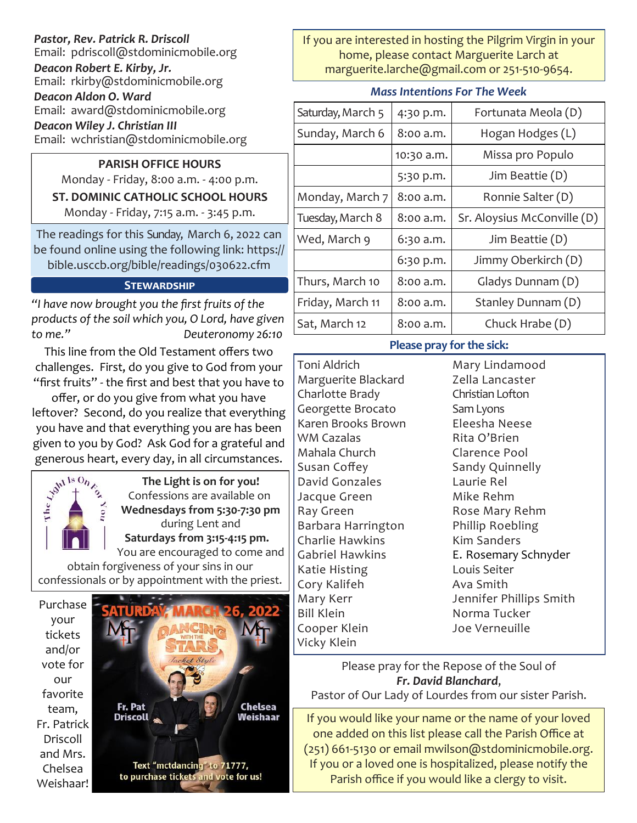#### *Pastor, Rev. Patrick R. Driscoll* Email: pdriscoll@stdominicmobile.org *Deacon Robert E. Kirby, Jr.* Email: rkirby@stdominicmobile.org *Deacon Aldon O. Ward* Email: award@stdominicmobile.org *Deacon Wiley J. Christian III*

Email: wchristian@stdominicmobile.org

### **PARISH OFFICE HOURS**

Monday - Friday, 8:00 a.m. - 4:00 p.m. **ST. DOMINIC CATHOLIC SCHOOL HOURS**  Monday - Friday, 7:15 a.m. - 3:45 p.m.

The readings for this Sunday, March 6, 2022 can be found online using the following link: https:// bible.usccb.org/bible/readings/030622.cfm

#### **Stewardship**

*"I have now brought you the first fruits of the products of the soil which you, O Lord, have given to me." Deuteronomy 26:10*

This line from the Old Testament offers two challenges. First, do you give to God from your "first fruits" - the first and best that you have to

offer, or do you give from what you have leftover? Second, do you realize that everything you have and that everything you are has been given to you by God? Ask God for a grateful and



generous heart, every day, in all circumstances.<br>  $\frac{1}{2} \int_{0}^{\sqrt{N} \cdot 15} \frac{O_{n}}{1} \int_{0}^{\sqrt{N}}$  Confeccions **The Light is on for you!**  Confessions are available on **Wednesdays from 5:30-7:30 pm**  during Lent and **Saturdays from 3:15-4:15 pm.** You are encouraged to come and

obtain forgiveness of your sins in our confessionals or by appointment with the priest.

Purchase your tickets and/or vote for our favorite team, Fr. Patrick Driscoll and Mrs. Chelsea Weishaar!



If you are interested in hosting the Pilgrim Virgin in your home, please contact Marguerite Larch at marguerite.larche@gmail.com or 251-510-9654.

|  | <b>Mass Intentions For The Week</b> |  |  |
|--|-------------------------------------|--|--|
|--|-------------------------------------|--|--|

| Saturday, March 5 | 4:30 p.m.  | Fortunata Meola (D)         |  |  |
|-------------------|------------|-----------------------------|--|--|
| Sunday, March 6   | 8:00 a.m.  | Hogan Hodges (L)            |  |  |
|                   | 10:30 a.m. | Missa pro Populo            |  |  |
|                   | 5:30 p.m.  | Jim Beattie (D)             |  |  |
| Monday, March 7   | 8:00 a.m.  | Ronnie Salter (D)           |  |  |
| Tuesday, March 8  | 8:00 a.m.  | Sr. Aloysius McConville (D) |  |  |
| Wed, March 9      | 6:30 a.m.  | Jim Beattie (D)             |  |  |
|                   | 6:30 p.m.  | Jimmy Oberkirch (D)         |  |  |
| Thurs, March 10   | 8:00 a.m.  | Gladys Dunnam (D)           |  |  |
| Friday, March 11  | 8:00 a.m.  | Stanley Dunnam (D)          |  |  |
| Sat, March 12     | 8:00 a.m.  | Chuck Hrabe (D)             |  |  |

#### **Please pray for the sick:**

Toni Aldrich Marguerite Blackard Charlotte Brady Georgette Brocato Karen Brooks Brown WM Cazalas Mahala Church Susan Coffey David Gonzales Jacque Green Ray Green Barbara Harrington Charlie Hawkins Gabriel Hawkins Katie Histing Cory Kalifeh Mary Kerr Bill Klein Cooper Klein Vicky Klein

Mary Lindamood Zella Lancaster Christian Lofton Sam Lyons Eleesha Neese Rita O'Brien Clarence Pool Sandy Quinnelly Laurie Rel Mike Rehm Rose Mary Rehm Phillip Roebling Kim Sanders E. Rosemary Schnyder Louis Seiter Ava Smith Jennifer Phillips Smith Norma Tucker Joe Verneuille

Please pray for the Repose of the Soul of *Fr. David Blanchard*, Pastor of Our Lady of Lourdes from our sister Parish.

If you would like your name or the name of your loved one added on this list please call the Parish Office at (251) 661-5130 or email mwilson@stdominicmobile.org. If you or a loved one is hospitalized, please notify the Parish office if you would like a clergy to visit.